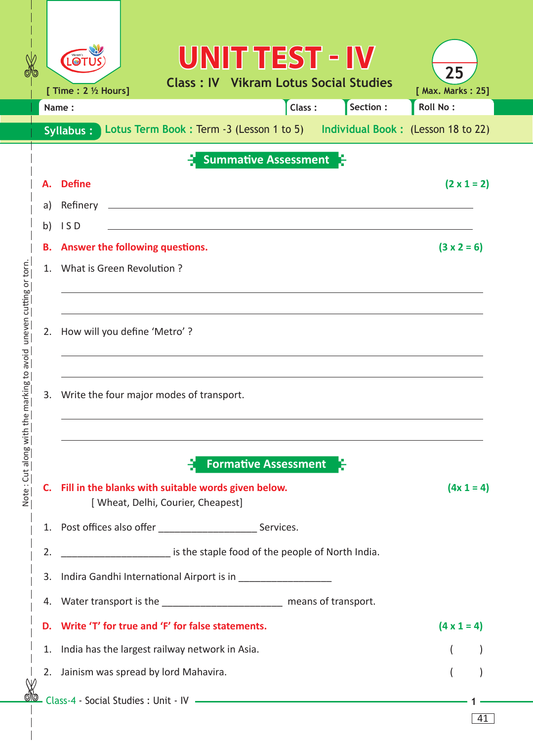| X                                         |          | UNITTEST - IV<br>Vikram's<br><b>LOT</b><br><b>Class: IV Vikram Lotus Social Studies</b>               | 25                                   |  |  |  |  |  |  |  |  |  |  |
|-------------------------------------------|----------|-------------------------------------------------------------------------------------------------------|--------------------------------------|--|--|--|--|--|--|--|--|--|--|
|                                           |          | [ Time : 2 1/2 Hours]<br>Section :<br>Class:<br>Name:                                                 | [ Max. Marks: 25]<br><b>Roll No:</b> |  |  |  |  |  |  |  |  |  |  |
|                                           |          | Lotus Term Book: Term -3 (Lesson 1 to 5) Individual Book: (Lesson 18 to 22)<br>Syllabus:              |                                      |  |  |  |  |  |  |  |  |  |  |
|                                           |          | <b>Summative Assessment</b>                                                                           |                                      |  |  |  |  |  |  |  |  |  |  |
|                                           |          | <b>Define</b>                                                                                         | $(2 \times 1 = 2)$                   |  |  |  |  |  |  |  |  |  |  |
|                                           | А.       |                                                                                                       |                                      |  |  |  |  |  |  |  |  |  |  |
|                                           | a)<br>b) | Refinery<br>ISD                                                                                       |                                      |  |  |  |  |  |  |  |  |  |  |
|                                           | в.       | $(3 x 2 = 6)$<br>Answer the following questions.                                                      |                                      |  |  |  |  |  |  |  |  |  |  |
|                                           | 1.       | What is Green Revolution?                                                                             |                                      |  |  |  |  |  |  |  |  |  |  |
|                                           |          |                                                                                                       |                                      |  |  |  |  |  |  |  |  |  |  |
| uneven cutting or torn                    | 2.       | How will you define 'Metro'?                                                                          |                                      |  |  |  |  |  |  |  |  |  |  |
| Note: Cut along with the marking to avoid | 3.       | Write the four major modes of transport.                                                              |                                      |  |  |  |  |  |  |  |  |  |  |
|                                           |          | <b>Formative Assessment</b><br>C. Fill in the blanks with suitable words given below.<br>$(4x 1 = 4)$ |                                      |  |  |  |  |  |  |  |  |  |  |
|                                           |          | [ Wheat, Delhi, Courier, Cheapest]                                                                    |                                      |  |  |  |  |  |  |  |  |  |  |
|                                           | 1.       |                                                                                                       |                                      |  |  |  |  |  |  |  |  |  |  |
|                                           | 2.       | is the staple food of the people of North India.                                                      |                                      |  |  |  |  |  |  |  |  |  |  |
|                                           | 3.       |                                                                                                       |                                      |  |  |  |  |  |  |  |  |  |  |
|                                           | 4.       | Water transport is the __________________________ means of transport.                                 |                                      |  |  |  |  |  |  |  |  |  |  |
|                                           | D.       | Write 'T' for true and 'F' for false statements.                                                      | $(4 \times 1 = 4)$                   |  |  |  |  |  |  |  |  |  |  |
|                                           | 1.       | India has the largest railway network in Asia.                                                        |                                      |  |  |  |  |  |  |  |  |  |  |
|                                           |          | 2. Jainism was spread by lord Mahavira.                                                               |                                      |  |  |  |  |  |  |  |  |  |  |
|                                           |          |                                                                                                       |                                      |  |  |  |  |  |  |  |  |  |  |
|                                           |          |                                                                                                       | 41                                   |  |  |  |  |  |  |  |  |  |  |

 $\overline{\phantom{a}}$